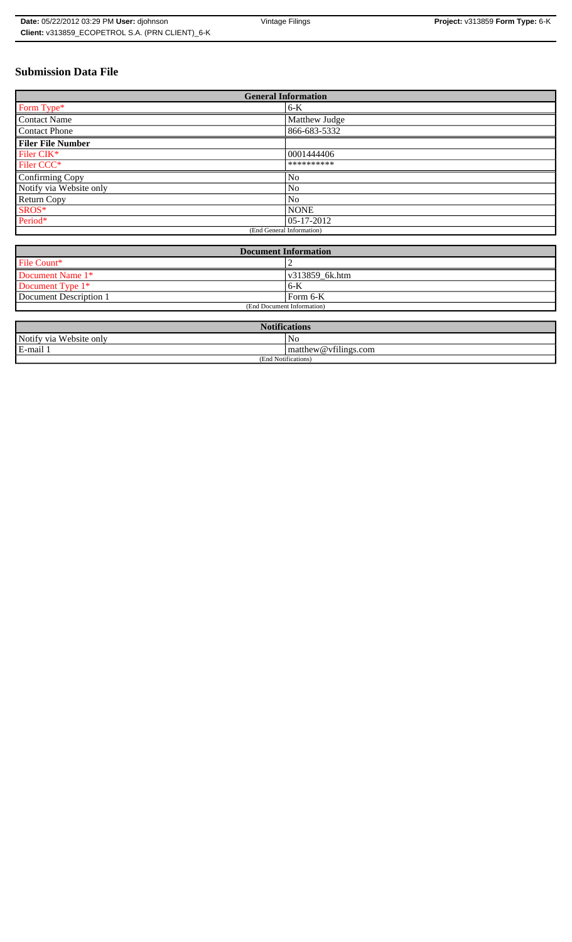# **Submission Data File**

| <b>General Information</b> |                |  |
|----------------------------|----------------|--|
| Form Type*                 | $6-K$          |  |
| <b>Contact Name</b>        | Matthew Judge  |  |
| <b>Contact Phone</b>       | 866-683-5332   |  |
| <b>Filer File Number</b>   |                |  |
| Filer CIK*                 | 0001444406     |  |
| Filer CCC*                 | **********     |  |
| Confirming Copy            | No             |  |
| Notify via Website only    | N <sub>0</sub> |  |
| <b>Return Copy</b>         | N <sub>0</sub> |  |
| SROS*                      | <b>NONE</b>    |  |
| Period*                    | 05-17-2012     |  |
| (End General Information)  |                |  |

| <b>Document Information</b> |                        |
|-----------------------------|------------------------|
| File Count*                 |                        |
| Document Name 1*            | $\sqrt{913859}$ 6k.htm |
| Document Type 1*            | ' 6-K                  |
| Document Description 1      | Form 6-K               |
| (End Document Information)  |                        |

| <b>Notifications</b>       |                     |
|----------------------------|---------------------|
| Notify via<br>Website only | N <sub>0</sub>      |
| E-mail                     | matrix@vfilings.com |
| (End Notifications)        |                     |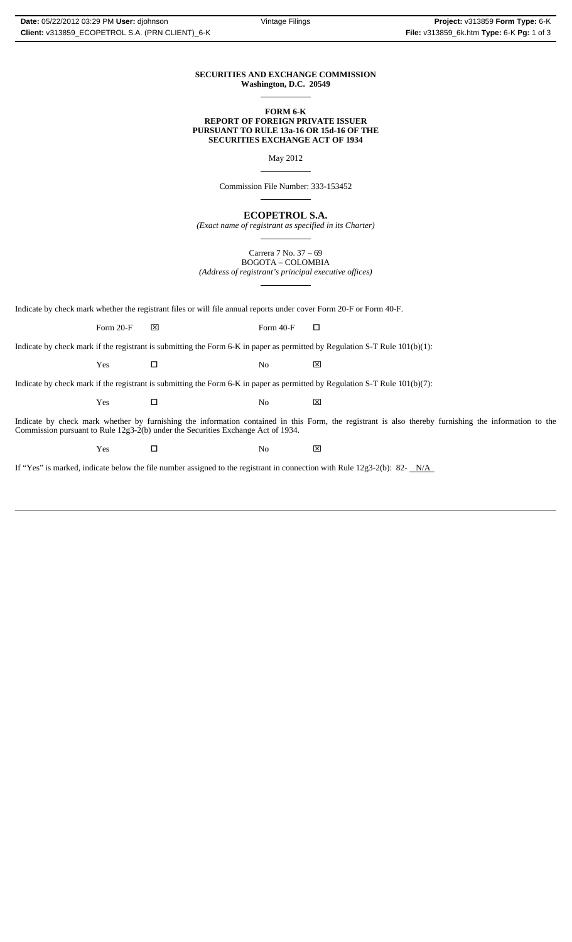### **SECURITIES AND EXCHANGE COMMISSION Washington, D.C. 20549**  $\overline{a}$

### **FORM 6-K REPORT OF FOREIGN PRIVATE ISSUER PURSUANT TO RULE 13a-16 OR 15d-16 OF THE SECURITIES EXCHANGE ACT OF 1934**

May 2012

 $\overline{a}$ 

 $\overline{a}$ 

 $\overline{a}$ 

Commission File Number: 333-153452

**ECOPETROL S.A.**

*(Exact name of registrant as specified in its Charter)*  $\overline{a}$ 

Carrera 7 No. 37 – 69 BOGOTA – COLOMBIA *(Address of registrant's principal executive offices)*

Indicate by check mark whether the registrant files or will file annual reports under cover Form 20-F or Form 40-F.

Form 20-F  $\boxtimes$  Form 40-F  $\Box$ 

Indicate by check mark if the registrant is submitting the Form 6-K in paper as permitted by Regulation S-T Rule 101(b)(1):

Yes □ No ⊠

Indicate by check mark if the registrant is submitting the Form 6-K in paper as permitted by Regulation S-T Rule 101(b)(7):

Yes □ No ⊠

Indicate by check mark whether by furnishing the information contained in this Form, the registrant is also thereby furnishing the information to the Commission pursuant to Rule 12g3-2(b) under the Securities Exchange Act of 1934.

 $Yes$   $\square$  No  $X$ 

If "Yes" is marked, indicate below the file number assigned to the registrant in connection with Rule 12g3-2(b): 82-  $N/A$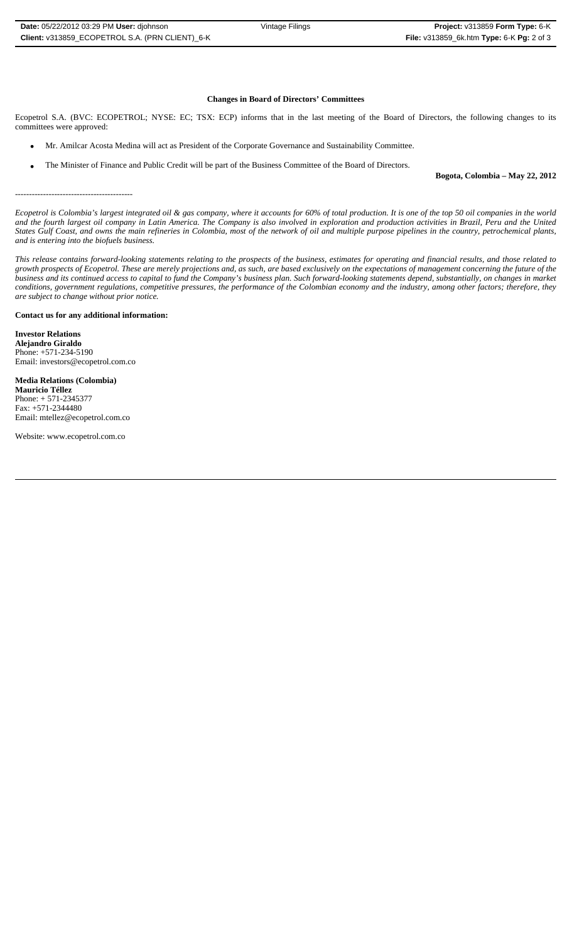## **Changes in Board of Directors' Committees**

Ecopetrol S.A. (BVC: ECOPETROL; NYSE: EC; TSX: ECP) informs that in the last meeting of the Board of Directors, the following changes to its committees were approved:

- Mr. Amilcar Acosta Medina will act as President of the Corporate Governance and Sustainability Committee.
- The Minister of Finance and Public Credit will be part of the Business Committee of the Board of Directors.

------------------------------------------

*Ecopetrol is Colombia's largest integrated oil & gas company, where it accounts for 60% of total production. It is one of the top 50 oil companies in the world and the fourth largest oil company in Latin America. The Company is also involved in exploration and production activities in Brazil, Peru and the United States Gulf Coast, and owns the main refineries in Colombia, most of the network of oil and multiple purpose pipelines in the country, petrochemical plants, and is entering into the biofuels business.*

*This release contains forward-looking statements relating to the prospects of the business, estimates for operating and financial results, and those related to growth prospects of Ecopetrol. These are merely projections and, as such, are based exclusively on the expectations of management concerning the future of the business and its continued access to capital to fund the Company's business plan. Such forward-looking statements depend, substantially, on changes in market conditions, government regulations, competitive pressures, the performance of the Colombian economy and the industry, among other factors; therefore, they are subject to change without prior notice.*

## **Contact us for any additional information:**

**Investor Relations Alejandro Giraldo** Phone: +571-234-5190 Email: investors@ecopetrol.com.co

**Media Relations (Colombia) Mauricio Téllez** Phone: + 571-2345377 Fax: +571-2344480 Email: mtellez@ecopetrol.com.co

Website: www.ecopetrol.com.co

**Bogota, Colombia – May 22, 2012**